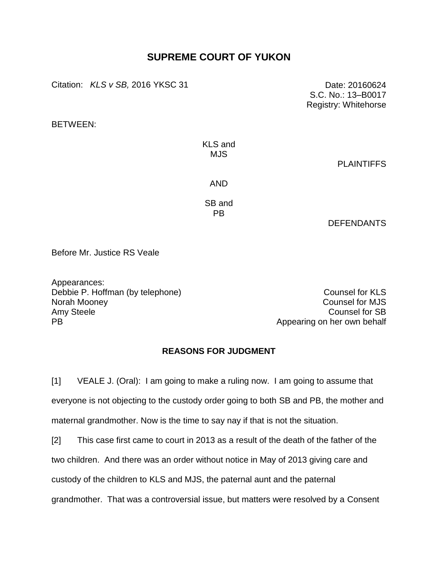## **SUPREME COURT OF YUKON**

Citation: *KLS v SB*, 2016 YKSC 31 Date: 20160624

BETWEEN:

KLS and MJS

**PLAINTIFFS** 

S.C. No.: 13–B0017 Registry: Whitehorse

AND

SB and PB

DEFENDANTS

Before Mr. Justice RS Veale

Appearances: Debbie P. Hoffman (by telephone) Counsel for KLS Norah Mooney **Norah Mooney** Counsel for MJS Amy Steele Counsel for SB

PB Appearing on her own behalf

## **REASONS FOR JUDGMENT**

[1] VEALE J. (Oral): I am going to make a ruling now. I am going to assume that everyone is not objecting to the custody order going to both SB and PB, the mother and maternal grandmother. Now is the time to say nay if that is not the situation.

[2] This case first came to court in 2013 as a result of the death of the father of the two children. And there was an order without notice in May of 2013 giving care and custody of the children to KLS and MJS, the paternal aunt and the paternal grandmother. That was a controversial issue, but matters were resolved by a Consent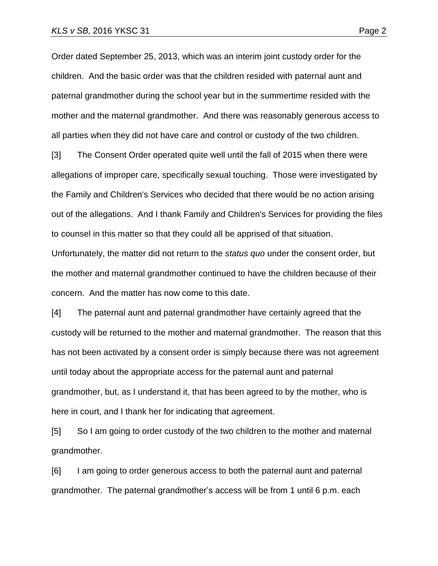Order dated September 25, 2013, which was an interim joint custody order for the children. And the basic order was that the children resided with paternal aunt and paternal grandmother during the school year but in the summertime resided with the mother and the maternal grandmother. And there was reasonably generous access to all parties when they did not have care and control or custody of the two children.

[3] The Consent Order operated quite well until the fall of 2015 when there were allegations of improper care, specifically sexual touching. Those were investigated by the Family and Children's Services who decided that there would be no action arising out of the allegations. And I thank Family and Children's Services for providing the files to counsel in this matter so that they could all be apprised of that situation. Unfortunately, the matter did not return to the *status quo* under the consent order, but the mother and maternal grandmother continued to have the children because of their concern. And the matter has now come to this date.

[4] The paternal aunt and paternal grandmother have certainly agreed that the custody will be returned to the mother and maternal grandmother. The reason that this has not been activated by a consent order is simply because there was not agreement until today about the appropriate access for the paternal aunt and paternal grandmother, but, as I understand it, that has been agreed to by the mother, who is here in court, and I thank her for indicating that agreement.

[5] So I am going to order custody of the two children to the mother and maternal grandmother.

[6] I am going to order generous access to both the paternal aunt and paternal grandmother. The paternal grandmother's access will be from 1 until 6 p.m. each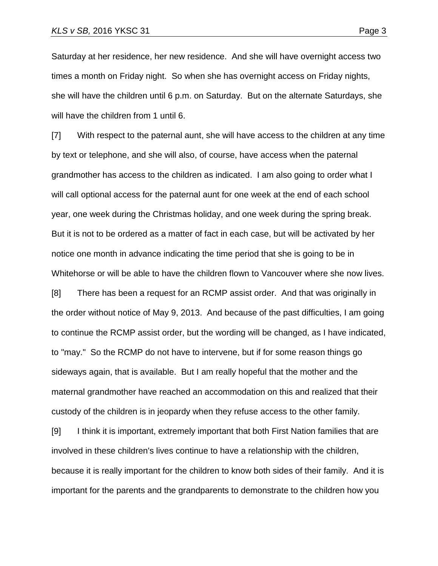Saturday at her residence, her new residence. And she will have overnight access two times a month on Friday night. So when she has overnight access on Friday nights, she will have the children until 6 p.m. on Saturday. But on the alternate Saturdays, she will have the children from 1 until 6.

[7] With respect to the paternal aunt, she will have access to the children at any time by text or telephone, and she will also, of course, have access when the paternal grandmother has access to the children as indicated. I am also going to order what I will call optional access for the paternal aunt for one week at the end of each school year, one week during the Christmas holiday, and one week during the spring break. But it is not to be ordered as a matter of fact in each case, but will be activated by her notice one month in advance indicating the time period that she is going to be in Whitehorse or will be able to have the children flown to Vancouver where she now lives.

[8] There has been a request for an RCMP assist order. And that was originally in the order without notice of May 9, 2013. And because of the past difficulties, I am going to continue the RCMP assist order, but the wording will be changed, as I have indicated, to "may." So the RCMP do not have to intervene, but if for some reason things go sideways again, that is available. But I am really hopeful that the mother and the maternal grandmother have reached an accommodation on this and realized that their custody of the children is in jeopardy when they refuse access to the other family.

[9] I think it is important, extremely important that both First Nation families that are involved in these children's lives continue to have a relationship with the children, because it is really important for the children to know both sides of their family. And it is important for the parents and the grandparents to demonstrate to the children how you